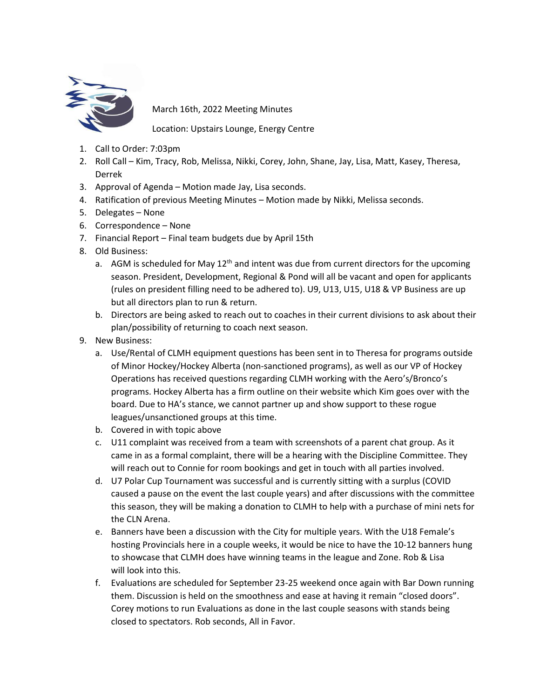

March 16th, 2022 Meeting Minutes

Location: Upstairs Lounge, Energy Centre

- 1. Call to Order: 7:03pm
- 2. Roll Call Kim, Tracy, Rob, Melissa, Nikki, Corey, John, Shane, Jay, Lisa, Matt, Kasey, Theresa, Derrek
- 3. Approval of Agenda Motion made Jay, Lisa seconds.
- 4. Ratification of previous Meeting Minutes Motion made by Nikki, Melissa seconds.
- 5. Delegates None
- 6. Correspondence None
- 7. Financial Report Final team budgets due by April 15th
- 8. Old Business:
	- a. AGM is scheduled for May  $12<sup>th</sup>$  and intent was due from current directors for the upcoming season. President, Development, Regional & Pond will all be vacant and open for applicants (rules on president filling need to be adhered to). U9, U13, U15, U18 & VP Business are up but all directors plan to run & return.
	- b. Directors are being asked to reach out to coaches in their current divisions to ask about their plan/possibility of returning to coach next season.
- 9. New Business:
	- a. Use/Rental of CLMH equipment questions has been sent in to Theresa for programs outside of Minor Hockey/Hockey Alberta (non-sanctioned programs), as well as our VP of Hockey Operations has received questions regarding CLMH working with the Aero's/Bronco's programs. Hockey Alberta has a firm outline on their website which Kim goes over with the board. Due to HA's stance, we cannot partner up and show support to these rogue leagues/unsanctioned groups at this time.
	- b. Covered in with topic above
	- c. U11 complaint was received from a team with screenshots of a parent chat group. As it came in as a formal complaint, there will be a hearing with the Discipline Committee. They will reach out to Connie for room bookings and get in touch with all parties involved.
	- d. U7 Polar Cup Tournament was successful and is currently sitting with a surplus (COVID caused a pause on the event the last couple years) and after discussions with the committee this season, they will be making a donation to CLMH to help with a purchase of mini nets for the CLN Arena.
	- e. Banners have been a discussion with the City for multiple years. With the U18 Female's hosting Provincials here in a couple weeks, it would be nice to have the 10-12 banners hung to showcase that CLMH does have winning teams in the league and Zone. Rob & Lisa will look into this.
	- f. Evaluations are scheduled for September 23-25 weekend once again with Bar Down running them. Discussion is held on the smoothness and ease at having it remain "closed doors". Corey motions to run Evaluations as done in the last couple seasons with stands being closed to spectators. Rob seconds, All in Favor.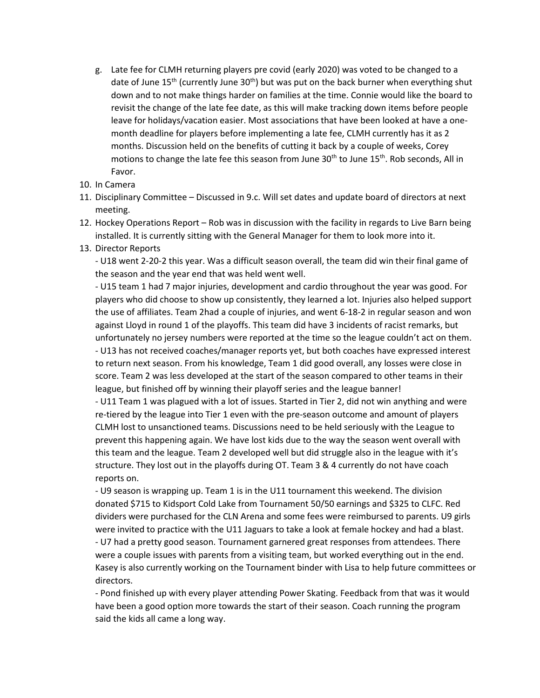- g. Late fee for CLMH returning players pre covid (early 2020) was voted to be changed to a date of June  $15<sup>th</sup>$  (currently June  $30<sup>th</sup>$ ) but was put on the back burner when everything shut down and to not make things harder on families at the time. Connie would like the board to revisit the change of the late fee date, as this will make tracking down items before people leave for holidays/vacation easier. Most associations that have been looked at have a onemonth deadline for players before implementing a late fee, CLMH currently has it as 2 months. Discussion held on the benefits of cutting it back by a couple of weeks, Corey motions to change the late fee this season from June 30<sup>th</sup> to June 15<sup>th</sup>. Rob seconds, All in Favor.
- 10. In Camera
- 11. Disciplinary Committee Discussed in 9.c. Will set dates and update board of directors at next meeting.
- 12. Hockey Operations Report Rob was in discussion with the facility in regards to Live Barn being installed. It is currently sitting with the General Manager for them to look more into it.
- 13. Director Reports

- U18 went 2-20-2 this year. Was a difficult season overall, the team did win their final game of the season and the year end that was held went well.

- U15 team 1 had 7 major injuries, development and cardio throughout the year was good. For players who did choose to show up consistently, they learned a lot. Injuries also helped support the use of affiliates. Team 2had a couple of injuries, and went 6-18-2 in regular season and won against Lloyd in round 1 of the playoffs. This team did have 3 incidents of racist remarks, but unfortunately no jersey numbers were reported at the time so the league couldn't act on them. - U13 has not received coaches/manager reports yet, but both coaches have expressed interest to return next season. From his knowledge, Team 1 did good overall, any losses were close in score. Team 2 was less developed at the start of the season compared to other teams in their league, but finished off by winning their playoff series and the league banner!

- U11 Team 1 was plagued with a lot of issues. Started in Tier 2, did not win anything and were re-tiered by the league into Tier 1 even with the pre-season outcome and amount of players CLMH lost to unsanctioned teams. Discussions need to be held seriously with the League to prevent this happening again. We have lost kids due to the way the season went overall with this team and the league. Team 2 developed well but did struggle also in the league with it's structure. They lost out in the playoffs during OT. Team 3 & 4 currently do not have coach reports on.

- U9 season is wrapping up. Team 1 is in the U11 tournament this weekend. The division donated \$715 to Kidsport Cold Lake from Tournament 50/50 earnings and \$325 to CLFC. Red dividers were purchased for the CLN Arena and some fees were reimbursed to parents. U9 girls were invited to practice with the U11 Jaguars to take a look at female hockey and had a blast. - U7 had a pretty good season. Tournament garnered great responses from attendees. There were a couple issues with parents from a visiting team, but worked everything out in the end. Kasey is also currently working on the Tournament binder with Lisa to help future committees or directors.

- Pond finished up with every player attending Power Skating. Feedback from that was it would have been a good option more towards the start of their season. Coach running the program said the kids all came a long way.